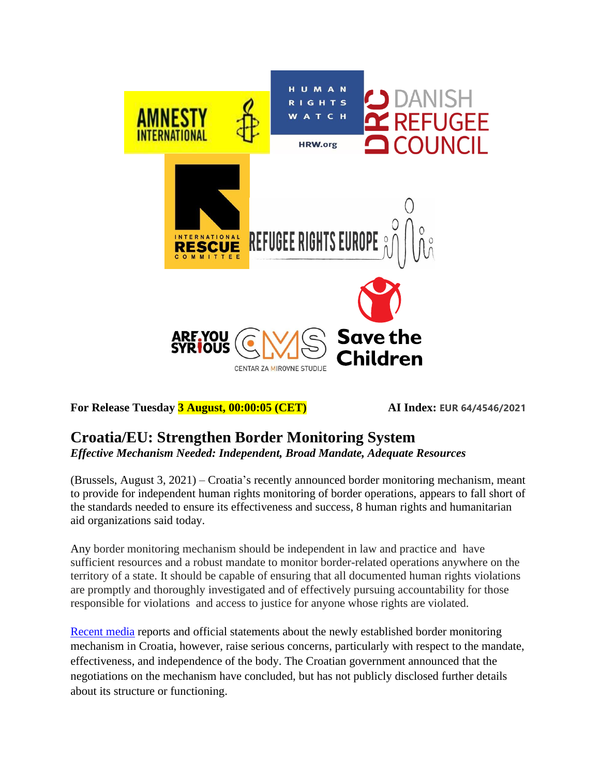

**For Release Tuesday 3 August, 00:00:05 (CET) AI Index: EUR 64/4546/2021**

## **Croatia/EU: Strengthen Border Monitoring System**  *Effective Mechanism Needed: Independent, Broad Mandate, Adequate Resources*

(Brussels, August 3, 2021) – Croatia's recently announced border monitoring mechanism, meant to provide for independent human rights monitoring of border operations, appears to fall short of the standards needed to ensure its effectiveness and success, 8 human rights and humanitarian aid organizations said today.

Any border monitoring mechanism should be independent in law and practice and have sufficient resources and a robust mandate to monitor border-related operations anywhere on the territory of a state. It should be capable of ensuring that all documented human rights violations are promptly and thoroughly investigated and of effectively pursuing accountability for those responsible for violations and access to justice for anyone whose rights are violated.

[Recent media](https://www.slobodnaevropa.org/a/nasilje-migranti-policija-hrvatska-monitoring/31360410.html) reports and official statements about the newly established border monitoring mechanism in Croatia, however, raise serious concerns, particularly with respect to the mandate, effectiveness, and independence of the body. The Croatian government announced that the negotiations on the mechanism have concluded, but has not publicly disclosed further details about its structure or functioning.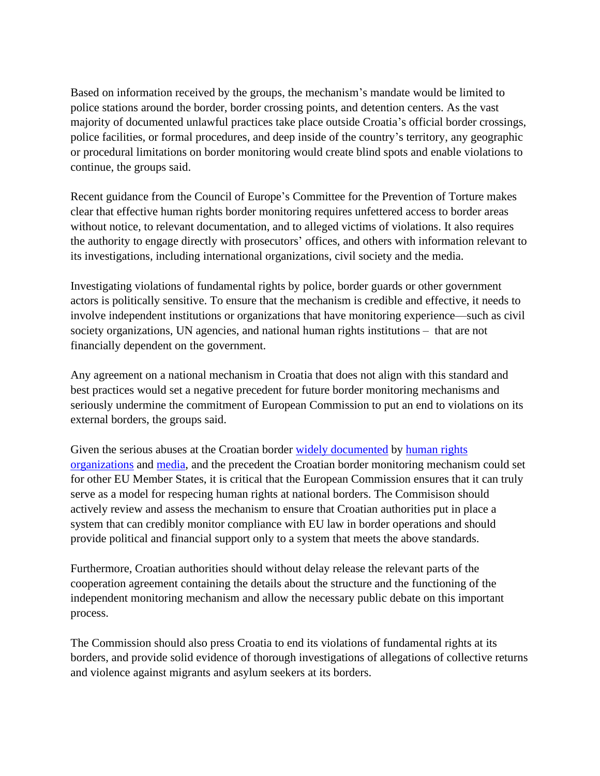Based on information received by the groups, the mechanism's mandate would be limited to police stations around the border, border crossing points, and detention centers. As the vast majority of documented unlawful practices take place outside Croatia's official border crossings, police facilities, or formal procedures, and deep inside of the country's territory, any geographic or procedural limitations on border monitoring would create blind spots and enable violations to continue, the groups said.

Recent guidance from the Council of Europe's Committee for the Prevention of Torture makes clear that effective human rights border monitoring requires unfettered access to border areas without notice, to relevant documentation, and to alleged victims of violations. It also requires the authority to engage directly with prosecutors' offices, and others with information relevant to its investigations, including international organizations, civil society and the media.

Investigating violations of fundamental rights by police, border guards or other government actors is politically sensitive. To ensure that the mechanism is credible and effective, it needs to involve independent institutions or organizations that have monitoring experience—such as civil society organizations, UN agencies, and national human rights institutions – that are not financially dependent on the government.

Any agreement on a national mechanism in Croatia that does not align with this standard and best practices would set a negative precedent for future border monitoring mechanisms and seriously undermine the commitment of European Commission to put an end to violations on its external borders, the groups said.

Given the serious abuses at the Croatian border [widely documented](https://www.ohchr.org/EN/NewsEvents/Pages/DisplayNews.aspx?NewsID=25088&LangID=E) by [human rights](https://www.coe.int/en/web/special-representative-secretary-general-migration-refugees/newsletter-october-2020/-/asset_publisher/cVKOAoroBOtI/content/croatian-authorities-must-stop-pushbacks-and-border-violence-and-end-impunity?_101_INSTANCE_cVKOAoroBOtI_viewMode=view/) [organizations](https://www.coe.int/en/web/special-representative-secretary-general-migration-refugees/newsletter-october-2020/-/asset_publisher/cVKOAoroBOtI/content/croatian-authorities-must-stop-pushbacks-and-border-violence-and-end-impunity?_101_INSTANCE_cVKOAoroBOtI_viewMode=view/) and [media,](https://www.theguardian.com/global-development/2021/apr/07/croatian-border-police-accused-of-sexually-assaulting-afghan-migrant) and the precedent the Croatian border monitoring mechanism could set for other EU Member States, it is critical that the European Commission ensures that it can truly serve as a model for respecing human rights at national borders. The Commisison should actively review and assess the mechanism to ensure that Croatian authorities put in place a system that can credibly monitor compliance with EU law in border operations and should provide political and financial support only to a system that meets the above standards.

Furthermore, Croatian authorities should without delay release the relevant parts of the cooperation agreement containing the details about the structure and the functioning of the independent monitoring mechanism and allow the necessary public debate on this important process.

The Commission should also press Croatia to end its violations of fundamental rights at its borders, and provide solid evidence of thorough investigations of allegations of collective returns and violence against migrants and asylum seekers at its borders.